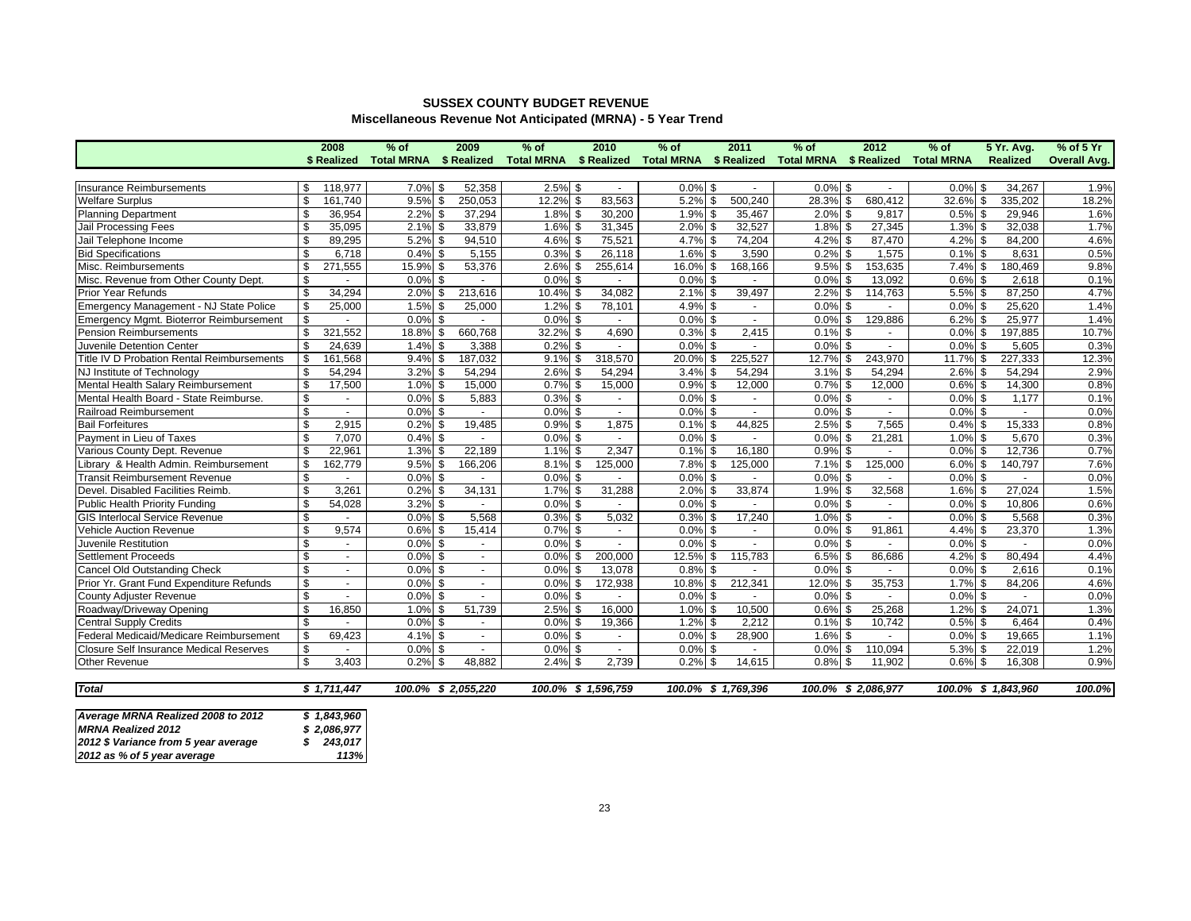## **SUSSEX COUNTY BUDGET REVENUEMiscellaneous Revenue Not Anticipated (MRNA) - 5 Year Trend**

|                                                       |                         | 2008         | $%$ of                 | 2009                  | $%$ of                                        | 2010                | $%$ of     | 2011                 | $%$ of                 | 2012                | $%$ of            | <b>5 Yr. Avg.</b>   | $%$ of 5 Yr         |
|-------------------------------------------------------|-------------------------|--------------|------------------------|-----------------------|-----------------------------------------------|---------------------|------------|----------------------|------------------------|---------------------|-------------------|---------------------|---------------------|
|                                                       |                         | \$ Realized  | Total MRNA \$ Realized |                       | Total MRNA \$ Realized Total MRNA \$ Realized |                     |            |                      | Total MRNA \$ Realized |                     | <b>Total MRNA</b> | Realized            | <b>Overall Avg.</b> |
|                                                       |                         |              |                        |                       |                                               |                     |            |                      |                        |                     |                   |                     |                     |
| Insurance Reimbursements                              | \$                      | 118,977      | 7.0% \$                | 52,358                | $2.5\%$ \$                                    |                     | $0.0\%$ \$ |                      | $0.0\%$ \$             |                     | $0.0\%$ \$        | 34,267              | 1.9%                |
| Welfare Surplus                                       | \$                      | 161,740      | 9.5%                   | \$<br>250,053         | 12.2%                                         | \$<br>83,563        | 5.2%       | 500,240<br>\$        | 28.3%                  | \$<br>680,412       | 32.6%             | \$<br>335.202       | 18.2%               |
| <b>Planning Department</b>                            | \$                      | 36,954       | 2.2%                   | 37,294<br>\$          | $1.8\%$ \$                                    | 30,200              | 1.9%       | 35,467<br>- \$       | 2.0%                   | \$<br>9,817         | $0.5%$ \$         | 29,946              | 1.6%                |
| Jail Processing Fees                                  | \$                      | 35,095       | 2.1%                   | 33,879<br>$\sqrt{3}$  | $1.6\%$ \$                                    | 31,345              | 2.0%       | 32,527<br>- \$       | $1.8\%$ \$             | 27,345              | 1.3%<br>\$        | 32,038              | 1.7%                |
| Jail Telephone Income                                 | \$                      | 89,295       | 5.2%                   | 94,510<br>\$          | $4.6\%$ \$                                    | 75,521              | 4.7%       | 74,204<br>- \$       | $4.2\%$ \$             | 87,470              | \$<br>4.2%        | 84,200              | 4.6%                |
| <b>Bid Specifications</b>                             | \$                      | 6,718        | 0.4%                   | 5,155<br>\$           | $0.3\%$ \$                                    | 26,118              | 1.6%       | 3,590<br>- \$        | $0.2\%$ \$             | 1,575               | $0.1\%$ \$        | 8,631               | 0.5%                |
| Misc. Reimbursements                                  | \$                      | 271,555      | 15.9%                  | 53,376<br>\$          | 2.6%                                          | 255,614<br>\$       | 16.0%      | 168,166<br>\$        | $9.5\%$ \$             | 153,635             | $7.4\%$ \$        | 180,469             | 9.8%                |
| Misc. Revenue from Other County Dept.                 | \$                      |              | 0.0%                   | \$                    | $0.0\%$ \$                                    |                     | 0.0%       | - \$                 | $0.0\%$ \$             | 13,092              | 0.6%<br>\$        | 2,618               | 0.1%                |
| Prior Year Refunds                                    | \$                      | 34,294       | 2.0%                   | 213,616<br>\$         | 10.4% \$                                      | 34,082              | 2.1%       | 39,497<br>- \$       | $2.2\%$ \$             | 114,763             | 5.5% \$           | 87,250              | 4.7%                |
| Emergency Management - NJ State Police                | \$                      | 25,000       | 1.5%                   | 25,000<br>\$          | $1.2\%$ \$                                    | 78,101              | 4.9%       | - \$                 | 0.0%                   | \$                  | $0.0\%$ \$        | 25,620              | 1.4%                |
| Emergency Mgmt. Bioterror Reimbursement               | \$                      |              | 0.0%                   | \$                    | $0.0\%$ \$                                    |                     | 0.0%       | \$<br>$\mathbf{r}$   | $0.0\%$ \$             | 129,886             | 6.2%<br>\$        | 25,977              | 1.4%                |
| Pension Reimbursements                                | \$                      | 321,552      | 18.8%                  | 660,768<br>$\sqrt{3}$ | 32.2% \$                                      | 4,690               | 0.3%       | 2,415<br>l \$        | $0.1\%$ \$             | $\sim$              | $0.0\%$ \$        | 197,885             | 10.7%               |
| Juvenile Detention Center                             | \$                      | 24,639       | 1.4%                   | 3,388<br>\$           | 0.2%                                          | \$                  | 0.0%       |                      | 0.0%                   | \$<br>÷.            | 0.0%<br>\$        | 5,605               | 0.3%                |
| Title IV D Probation Rental Reimbursements            | \$                      | 161,568      | 9.4%                   | 187,032<br>\$         | 9.1%                                          | \$<br>318,570       | 20.0%      | 225,527<br>\$        | 12.7% \$               | 243,970             | 11.7%             | 227,333<br>\$       | 12.3%               |
| NJ Institute of Technology                            | $\mathbb{S}$            | 54,294       | 3.2%                   | 54,294<br>\$          | $2.6\%$ \$                                    | 54,294              | 3.4%       | 54,294<br>\$         | $3.1\%$ \$             | 54,294              | 2.6%<br>\$        | 54,294              | 2.9%                |
| Mental Health Salary Reimbursement                    | s,                      | 17,500       | 1.0%                   | 15,000<br>\$          | $0.7\%$ \$                                    | 15,000              | 0.9%       | 12,000<br>\$         | $0.7\%$ \$             | 12,000              | 0.6%<br>\$        | 14,300              | 0.8%                |
| Mental Health Board - State Reimburse.                | $\mathbf{\hat{s}}$      | $\sim$       | 0.0%                   | 5,883<br>$\sqrt{3}$   | $0.3\%$ \$                                    | $\sim$              | 0.0%       | \$                   | $0.0\%$ \$             | $\sim$              | $0.0\%$ \$        | 1,177               | 0.1%                |
| Railroad Reimbursement                                | s,                      | $\sim$       | $0.0\%$ \$             |                       | $0.0\%$ \$                                    | $\blacksquare$      | 0.0%       | \$                   | $0.0\%$ \$             | $\sim$              | 0.0%<br>\$        | $\blacksquare$      | 0.0%                |
| <b>Bail Forfeitures</b>                               | \$                      | 2,915        | 0.2%                   | 19,485<br>\$          | $0.9\%$ \$                                    | 1,875               | 0.1%       | 44,825<br>-\$        | $2.5\%$ \$             | 7,565               | 0.4%              | \$<br>15,333        | 0.8%                |
| Payment in Lieu of Taxes                              | $\overline{\mathbf{s}}$ | 7.070        | 0.4%                   | \$                    | $0.0\%$ \$                                    |                     | 0.0%       | - \$                 | 0.0%                   | \$<br>21,281        | 1.0%<br>\$        | 5.670               | 0.3%                |
| Various County Dept. Revenue                          | \$                      | 22,961       | 1.3%                   | 22,189<br>\$          | $1.1\%$ \$                                    | 2.347               | 0.1%       | 16,180<br>- \$       | $0.9\%$ \$             | $\blacksquare$      | 0.0%<br>\$        | 12,736              | 0.7%                |
| ibrary & Health Admin. Reimbursement                  | \$                      | 162,779      | 9.5%                   | \$<br>166,206         | $8.1\%$ \$                                    | 125,000             | 7.8%       | 125,000<br>\$        | 7.1%                   | \$<br>125,000       | 6.0%              | \$<br>140,797       | 7.6%                |
| <b>Transit Reimbursement Revenue</b>                  | \$                      |              | 0.0%                   | \$                    | $0.0\%$ \$                                    |                     | 0.0%       | -\$                  | $0.0\%$ \$             |                     | \$<br>0.0%        |                     | 0.0%                |
| Devel. Disabled Facilities Reimb.                     | \$                      | 3,261        | $0.2\%$ \$             | 34,131                | $1.7\%$ \$                                    | 31,288              | 2.0%       | 33,874<br>- \$       | $1.9\%$ \$             | 32,568              | $1.6\%$ \$        | 27,024              | 1.5%                |
| <b>Public Health Priority Funding</b>                 | \$                      | 54,028       | 3.2%                   | \$                    | $0.0\%$ \$                                    |                     | 0.0%       | - \$                 | $0.0\%$ \$             |                     | 0.0%<br>\$        | 10,806              | 0.6%                |
| <b>GIS Interlocal Service Revenue</b>                 | \$                      | $\sim$       | $0.0\%$ \$             | 5,568                 | $0.3\%$ \$                                    | 5,032               | 0.3%       | 17,240<br>- \$       | $1.0\%$ \$             | $\sim$              | 0.0%<br>\$        | 5,568               | 0.3%                |
| Vehicle Auction Revenue                               | $\mathbf{\hat{s}}$      | 9,574        | 0.6%                   | \$<br>15,414          | $0.7\%$ \$                                    |                     | 0.0%       | -\$                  | 0.0%                   | 91,861<br>\$        | \$<br>4.4%        | 23,370              | 1.3%                |
| Juvenile Restitution                                  | \$                      | $\sim$       | 0.0%                   | \$<br>$\sim$          | $0.0\%$ \$                                    | $\sim$              | 0.0%       | \$<br>$\blacksquare$ | $0.0\%$ \$             | $\sim$              | $0.0\%$ \$        | $\sim$              | 0.0%                |
| <b>Settlement Proceeds</b>                            | \$                      | $\mathbf{r}$ | 0.0%                   | \$<br>$\sim$          | 0.0%                                          | \$<br>200,000       | 12.5%      | \$<br>115,783        | $6.5\%$ \$             | 86,686              | \$<br>4.2%        | 80,494              | 4.4%                |
| Cancel Old Outstanding Check                          | \$                      | $\mathbf{r}$ | 0.0%                   | \$<br>$\sim$          | $0.0\%$ \$                                    | 13,078              | 0.8%       | -\$                  | $0.0\%$ \$             |                     | $0.0\%$ \$        | 2,616               | 0.1%                |
| Prior Yr. Grant Fund Expenditure Refunds              | \$                      | $\sim$       | 0.0%                   | \$<br>$\sim$          | $0.0\%$ \$                                    | 172,938             | 10.8%      | 212,341<br>\$        | 12.0%                  | 35,753<br>\$        | 1.7%<br>\$        | 84,206              | 4.6%                |
| County Adjuster Revenue                               | \$                      |              | 0.0%                   | \$<br>$\sim$          | $0.0\%$ \$                                    |                     | 0.0%       | \$                   | $0.0\%$ \$             |                     | 0.0%<br>\$        |                     | 0.0%                |
| Roadway/Driveway Opening                              | \$                      | 16,850       | 1.0%                   | 51,739<br>\$          | $2.5\%$ \$                                    | 16,000              | 1.0%       | 10,500<br>l \$       | $0.6\%$ \$             | 25,268              | $1.2\%$ \$        | 24,071              | 1.3%                |
| <b>Central Supply Credits</b>                         | \$                      |              | 0.0%                   | \$<br>$\sim$          | $0.0\%$ \$                                    | 19,366              | 1.2%       | 2,212<br>\$          | $0.1\%$ \$             | 10,742              | 0.5%<br>\$        | 6,464               | 0.4%                |
| Federal Medicaid/Medicare Reimbursement               | \$                      | 69,423       | 4.1% \$                | $\sim$                | $0.0\%$ \$                                    | $\sim$              | 0.0%       | 28,900<br>- \$       | $1.6\%$ \$             | $\sim$              | $0.0\%$ \$        | 19,665              | 1.1%                |
| <b>Closure Self Insurance Medical Reserves</b>        | \$                      | $\sim$       | $0.0\%$ \$             | $\sim$                | $0.0\%$ \$                                    | $\sim$              | $0.0\%$ \$ |                      | $0.0\%$ \$             | 110,094             | $5.3\%$ \$        | 22,019              | 1.2%                |
| Other Revenue                                         | \$                      | 3,403        | 0.2%                   | 48,882<br>\$          | 2.4%                                          | 2,739<br>\$         | 0.2%       | 14,615               | 0.8%                   | \$<br>11,902        | 0.6%              | \$<br>16,308        | 0.9%                |
|                                                       |                         |              |                        |                       |                                               |                     |            |                      |                        |                     |                   |                     |                     |
| <b>Total</b>                                          |                         | \$1,711,447  |                        | 100.0% \$ 2,055,220   |                                               | 100.0% \$ 1,596,759 |            | 100.0% \$ 1,769,396  |                        | 100.0% \$ 2,086,977 |                   | 100.0% \$ 1,843,960 | 100.0%              |
|                                                       |                         |              |                        |                       |                                               |                     |            |                      |                        |                     |                   |                     |                     |
| $A_{11111111} BDBBA$ $B_{111}B_{111}$ $A00004 - 0040$ |                         | 0.40000      |                        |                       |                                               |                     |            |                      |                        |                     |                   |                     |                     |

| Average MRNA Realized 2008 to 2012   | \$1,843,960 |
|--------------------------------------|-------------|
| <b>MRNA Realized 2012</b>            | \$2,086,977 |
| 2012 \$ Variance from 5 year average | \$243,017   |
| 2012 as % of 5 year average          | 113%        |